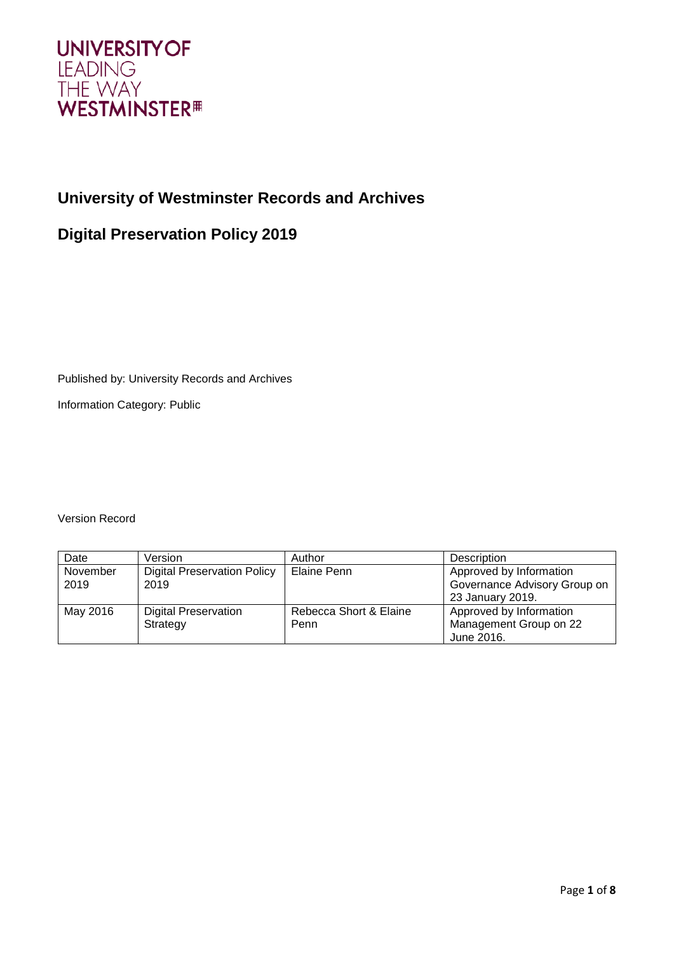

# **University of Westminster Records and Archives**

# **Digital Preservation Policy 2019**

Published by: University Records and Archives

Information Category: Public

Version Record

| Date     | Version                            | Author                 | Description                  |
|----------|------------------------------------|------------------------|------------------------------|
| November | <b>Digital Preservation Policy</b> | Elaine Penn            | Approved by Information      |
| 2019     | 2019                               |                        | Governance Advisory Group on |
|          |                                    |                        | 23 January 2019.             |
| May 2016 | <b>Digital Preservation</b>        | Rebecca Short & Elaine | Approved by Information      |
|          | Strategy                           | Penn                   | Management Group on 22       |
|          |                                    |                        | June 2016.                   |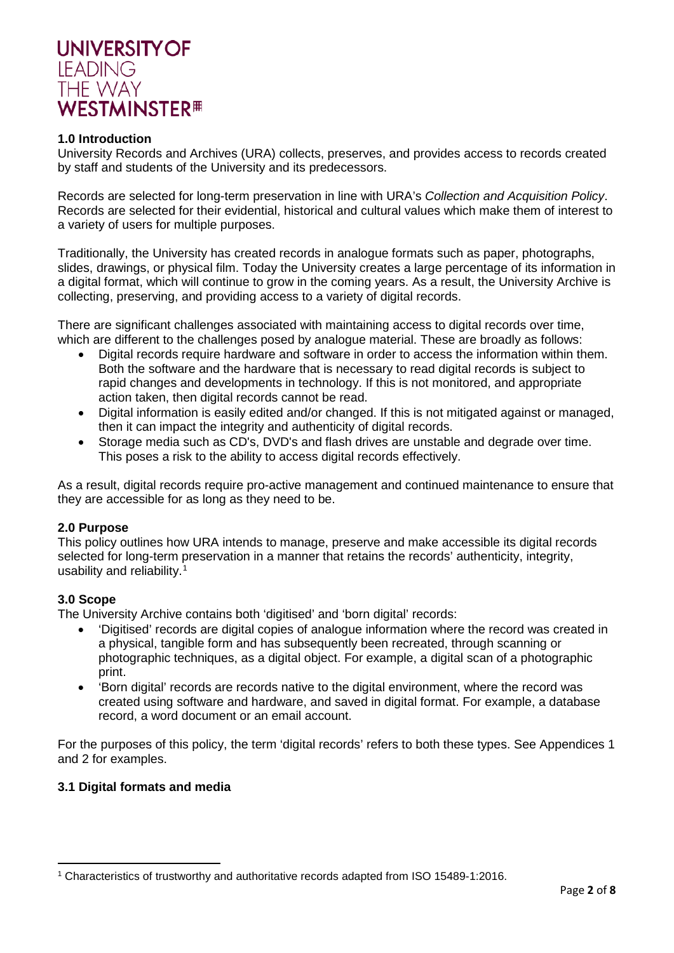

#### **1.0 Introduction**

University Records and Archives (URA) collects, preserves, and provides access to records created by staff and students of the University and its predecessors.

Records are selected for long-term preservation in line with URA's *Collection and Acquisition Policy*. Records are selected for their evidential, historical and cultural values which make them of interest to a variety of users for multiple purposes.

Traditionally, the University has created records in analogue formats such as paper, photographs, slides, drawings, or physical film. Today the University creates a large percentage of its information in a digital format, which will continue to grow in the coming years. As a result, the University Archive is collecting, preserving, and providing access to a variety of digital records.

There are significant challenges associated with maintaining access to digital records over time, which are different to the challenges posed by analogue material. These are broadly as follows:

- Digital records require hardware and software in order to access the information within them. Both the software and the hardware that is necessary to read digital records is subject to rapid changes and developments in technology. If this is not monitored, and appropriate action taken, then digital records cannot be read.
- Digital information is easily edited and/or changed. If this is not mitigated against or managed, then it can impact the integrity and authenticity of digital records.
- Storage media such as CD's, DVD's and flash drives are unstable and degrade over time. This poses a risk to the ability to access digital records effectively.

As a result, digital records require pro-active management and continued maintenance to ensure that they are accessible for as long as they need to be.

#### **2.0 Purpose**

This policy outlines how URA intends to manage, preserve and make accessible its digital records selected for long-term preservation in a manner that retains the records' authenticity, integrity, usability and reliability. [1](#page-1-0)

## **3.0 Scope**

 $\overline{a}$ 

The University Archive contains both 'digitised' and 'born digital' records:

- 'Digitised' records are digital copies of analogue information where the record was created in a physical, tangible form and has subsequently been recreated, through scanning or photographic techniques, as a digital object. For example, a digital scan of a photographic print.
- 'Born digital' records are records native to the digital environment, where the record was created using software and hardware, and saved in digital format. For example, a database record, a word document or an email account.

For the purposes of this policy, the term 'digital records' refers to both these types. See Appendices 1 and 2 for examples.

#### **3.1 Digital formats and media**

<span id="page-1-0"></span><sup>1</sup> Characteristics of trustworthy and authoritative records adapted from ISO 15489-1:2016.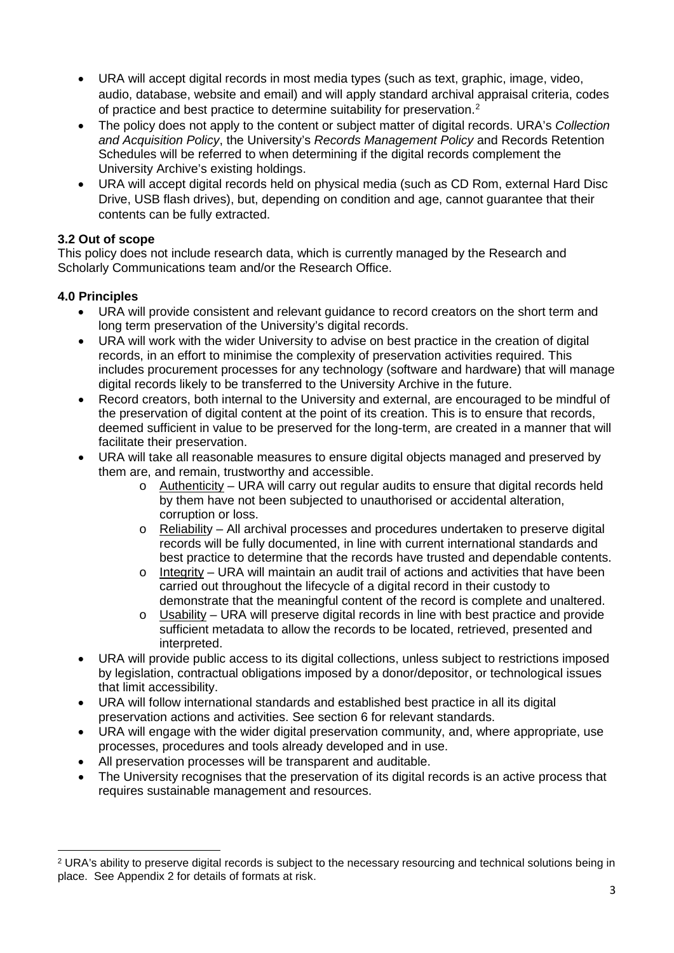- URA will accept digital records in most media types (such as text, graphic, image, video, audio, database, website and email) and will apply standard archival appraisal criteria, codes of practice and best practice to determine suitability for preservation.<sup>[2](#page-2-0)</sup>
- The policy does not apply to the content or subject matter of digital records. URA's *Collection and Acquisition Policy*, the University's *Records Management Policy* and Records Retention Schedules will be referred to when determining if the digital records complement the University Archive's existing holdings.
- URA will accept digital records held on physical media (such as CD Rom, external Hard Disc Drive, USB flash drives), but, depending on condition and age, cannot guarantee that their contents can be fully extracted.

# **3.2 Out of scope**

This policy does not include research data, which is currently managed by the Research and Scholarly Communications team and/or the Research Office.

## **4.0 Principles**

**.** 

- URA will provide consistent and relevant guidance to record creators on the short term and long term preservation of the University's digital records.
- URA will work with the wider University to advise on best practice in the creation of digital records, in an effort to minimise the complexity of preservation activities required. This includes procurement processes for any technology (software and hardware) that will manage digital records likely to be transferred to the University Archive in the future.
- Record creators, both internal to the University and external, are encouraged to be mindful of the preservation of digital content at the point of its creation. This is to ensure that records, deemed sufficient in value to be preserved for the long-term, are created in a manner that will facilitate their preservation.
- URA will take all reasonable measures to ensure digital objects managed and preserved by them are, and remain, trustworthy and accessible.
	- $\circ$  Authenticity URA will carry out regular audits to ensure that digital records held by them have not been subjected to unauthorised or accidental alteration, corruption or loss.
	- o Reliability All archival processes and procedures undertaken to preserve digital records will be fully documented, in line with current international standards and best practice to determine that the records have trusted and dependable contents.
	- o Integrity URA will maintain an audit trail of actions and activities that have been carried out throughout the lifecycle of a digital record in their custody to demonstrate that the meaningful content of the record is complete and unaltered.
	- $\circ$  Usability URA will preserve digital records in line with best practice and provide sufficient metadata to allow the records to be located, retrieved, presented and interpreted.
- URA will provide public access to its digital collections, unless subject to restrictions imposed by legislation, contractual obligations imposed by a donor/depositor, or technological issues that limit accessibility.
- URA will follow international standards and established best practice in all its digital preservation actions and activities. See section 6 for relevant standards.
- URA will engage with the wider digital preservation community, and, where appropriate, use processes, procedures and tools already developed and in use.
- All preservation processes will be transparent and auditable.
- The University recognises that the preservation of its digital records is an active process that requires sustainable management and resources.

<span id="page-2-0"></span><sup>2</sup> URA's ability to preserve digital records is subject to the necessary resourcing and technical solutions being in place. See Appendix 2 for details of formats at risk.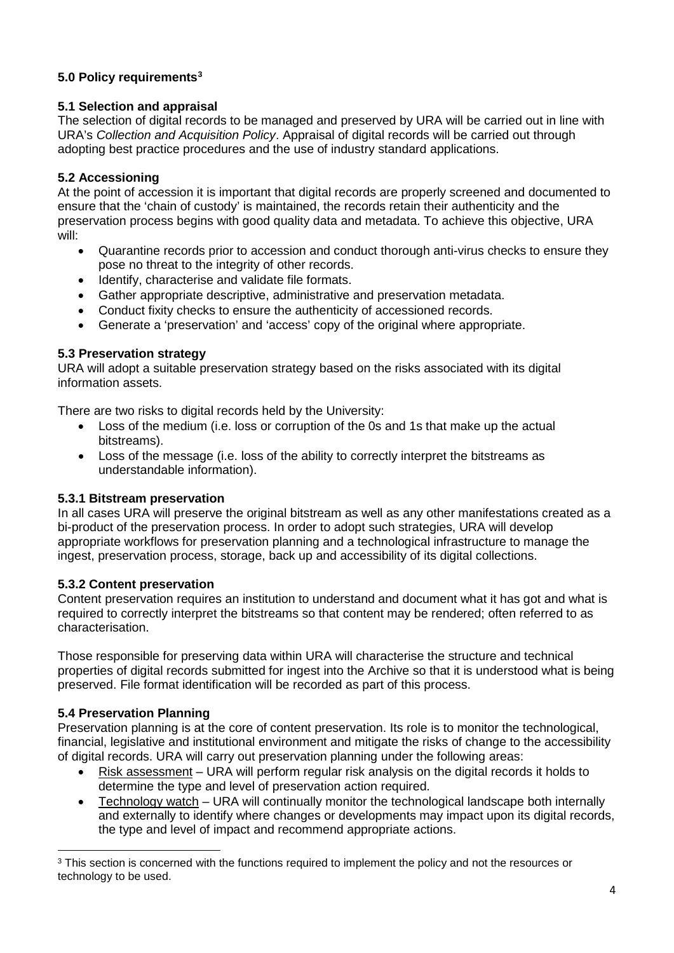# **5.0 Policy requirements[3](#page-3-0)**

# **5.1 Selection and appraisal**

The selection of digital records to be managed and preserved by URA will be carried out in line with URA's *Collection and Acquisition Policy*. Appraisal of digital records will be carried out through adopting best practice procedures and the use of industry standard applications.

# **5.2 Accessioning**

At the point of accession it is important that digital records are properly screened and documented to ensure that the 'chain of custody' is maintained, the records retain their authenticity and the preservation process begins with good quality data and metadata. To achieve this objective, URA will:

- Quarantine records prior to accession and conduct thorough anti-virus checks to ensure they pose no threat to the integrity of other records.
- Identify, characterise and validate file formats.
- Gather appropriate descriptive, administrative and preservation metadata.
- Conduct fixity checks to ensure the authenticity of accessioned records.
- Generate a 'preservation' and 'access' copy of the original where appropriate.

# **5.3 Preservation strategy**

URA will adopt a suitable preservation strategy based on the risks associated with its digital information assets.

There are two risks to digital records held by the University:

- Loss of the medium (i.e. loss or corruption of the 0s and 1s that make up the actual bitstreams).
- Loss of the message (i.e. loss of the ability to correctly interpret the bitstreams as understandable information).

## **5.3.1 Bitstream preservation**

In all cases URA will preserve the original bitstream as well as any other manifestations created as a bi-product of the preservation process. In order to adopt such strategies, URA will develop appropriate workflows for preservation planning and a technological infrastructure to manage the ingest, preservation process, storage, back up and accessibility of its digital collections.

## **5.3.2 Content preservation**

Content preservation requires an institution to understand and document what it has got and what is required to correctly interpret the bitstreams so that content may be rendered; often referred to as characterisation.

Those responsible for preserving data within URA will characterise the structure and technical properties of digital records submitted for ingest into the Archive so that it is understood what is being preserved. File format identification will be recorded as part of this process.

## **5.4 Preservation Planning**

**.** 

Preservation planning is at the core of content preservation. Its role is to monitor the technological, financial, legislative and institutional environment and mitigate the risks of change to the accessibility of digital records. URA will carry out preservation planning under the following areas:

- Risk assessment URA will perform regular risk analysis on the digital records it holds to determine the type and level of preservation action required.
- Technology watch URA will continually monitor the technological landscape both internally and externally to identify where changes or developments may impact upon its digital records, the type and level of impact and recommend appropriate actions.

<span id="page-3-0"></span><sup>&</sup>lt;sup>3</sup> This section is concerned with the functions required to implement the policy and not the resources or technology to be used.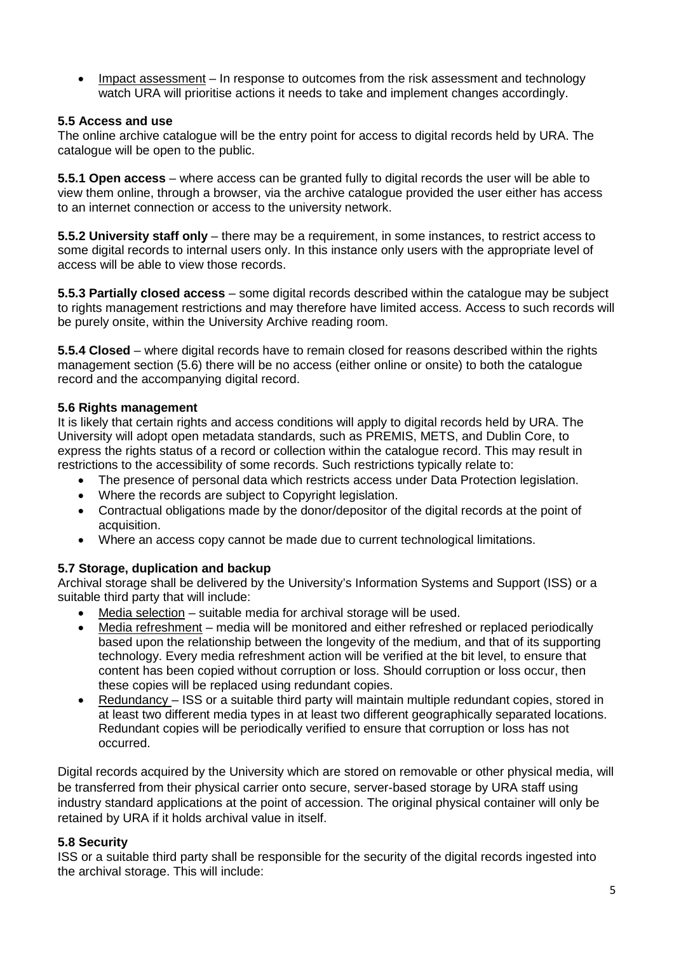• Impact assessment – In response to outcomes from the risk assessment and technology watch URA will prioritise actions it needs to take and implement changes accordingly.

## **5.5 Access and use**

The online archive catalogue will be the entry point for access to digital records held by URA. The catalogue will be open to the public.

**5.5.1 Open access** – where access can be granted fully to digital records the user will be able to view them online, through a browser, via the archive catalogue provided the user either has access to an internet connection or access to the university network.

**5.5.2 University staff only** – there may be a requirement, in some instances, to restrict access to some digital records to internal users only. In this instance only users with the appropriate level of access will be able to view those records.

**5.5.3 Partially closed access** – some digital records described within the catalogue may be subject to rights management restrictions and may therefore have limited access. Access to such records will be purely onsite, within the University Archive reading room.

**5.5.4 Closed** – where digital records have to remain closed for reasons described within the rights management section (5.6) there will be no access (either online or onsite) to both the catalogue record and the accompanying digital record.

## **5.6 Rights management**

It is likely that certain rights and access conditions will apply to digital records held by URA. The University will adopt open metadata standards, such as PREMIS, METS, and Dublin Core, to express the rights status of a record or collection within the catalogue record. This may result in restrictions to the accessibility of some records. Such restrictions typically relate to:

- The presence of personal data which restricts access under Data Protection legislation.
- Where the records are subject to Copyright legislation.
- Contractual obligations made by the donor/depositor of the digital records at the point of acquisition.
- Where an access copy cannot be made due to current technological limitations.

## **5.7 Storage, duplication and backup**

Archival storage shall be delivered by the University's Information Systems and Support (ISS) or a suitable third party that will include:

- Media selection suitable media for archival storage will be used.
- Media refreshment media will be monitored and either refreshed or replaced periodically based upon the relationship between the longevity of the medium, and that of its supporting technology. Every media refreshment action will be verified at the bit level, to ensure that content has been copied without corruption or loss. Should corruption or loss occur, then these copies will be replaced using redundant copies.
- Redundancy ISS or a suitable third party will maintain multiple redundant copies, stored in at least two different media types in at least two different geographically separated locations. Redundant copies will be periodically verified to ensure that corruption or loss has not occurred.

Digital records acquired by the University which are stored on removable or other physical media, will be transferred from their physical carrier onto secure, server-based storage by URA staff using industry standard applications at the point of accession. The original physical container will only be retained by URA if it holds archival value in itself.

## **5.8 Security**

ISS or a suitable third party shall be responsible for the security of the digital records ingested into the archival storage. This will include: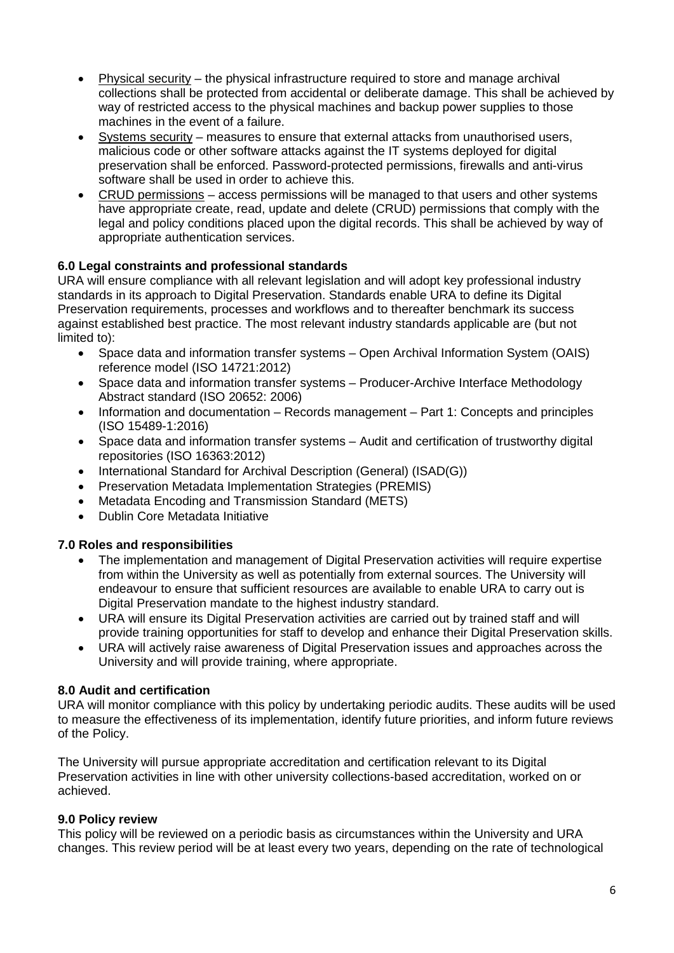- Physical security the physical infrastructure required to store and manage archival collections shall be protected from accidental or deliberate damage. This shall be achieved by way of restricted access to the physical machines and backup power supplies to those machines in the event of a failure.
- Systems security measures to ensure that external attacks from unauthorised users, malicious code or other software attacks against the IT systems deployed for digital preservation shall be enforced. Password-protected permissions, firewalls and anti-virus software shall be used in order to achieve this.
- CRUD permissions access permissions will be managed to that users and other systems have appropriate create, read, update and delete (CRUD) permissions that comply with the legal and policy conditions placed upon the digital records. This shall be achieved by way of appropriate authentication services.

## **6.0 Legal constraints and professional standards**

URA will ensure compliance with all relevant legislation and will adopt key professional industry standards in its approach to Digital Preservation. Standards enable URA to define its Digital Preservation requirements, processes and workflows and to thereafter benchmark its success against established best practice. The most relevant industry standards applicable are (but not limited to):

- Space data and information transfer systems Open Archival Information System (OAIS) reference model (ISO 14721:2012)
- Space data and information transfer systems Producer-Archive Interface Methodology Abstract standard (ISO 20652: 2006)
- Information and documentation Records management Part 1: Concepts and principles (ISO 15489-1:2016)
- Space data and information transfer systems Audit and certification of trustworthy digital repositories (ISO 16363:2012)
- International Standard for Archival Description (General) (ISAD(G))
- Preservation Metadata Implementation Strategies (PREMIS)
- Metadata Encoding and Transmission Standard (METS)
- Dublin Core Metadata Initiative

# **7.0 Roles and responsibilities**

- The implementation and management of Digital Preservation activities will require expertise from within the University as well as potentially from external sources. The University will endeavour to ensure that sufficient resources are available to enable URA to carry out is Digital Preservation mandate to the highest industry standard.
- URA will ensure its Digital Preservation activities are carried out by trained staff and will provide training opportunities for staff to develop and enhance their Digital Preservation skills.
- URA will actively raise awareness of Digital Preservation issues and approaches across the University and will provide training, where appropriate.

## **8.0 Audit and certification**

URA will monitor compliance with this policy by undertaking periodic audits. These audits will be used to measure the effectiveness of its implementation, identify future priorities, and inform future reviews of the Policy.

The University will pursue appropriate accreditation and certification relevant to its Digital Preservation activities in line with other university collections-based accreditation, worked on or achieved.

## **9.0 Policy review**

This policy will be reviewed on a periodic basis as circumstances within the University and URA changes. This review period will be at least every two years, depending on the rate of technological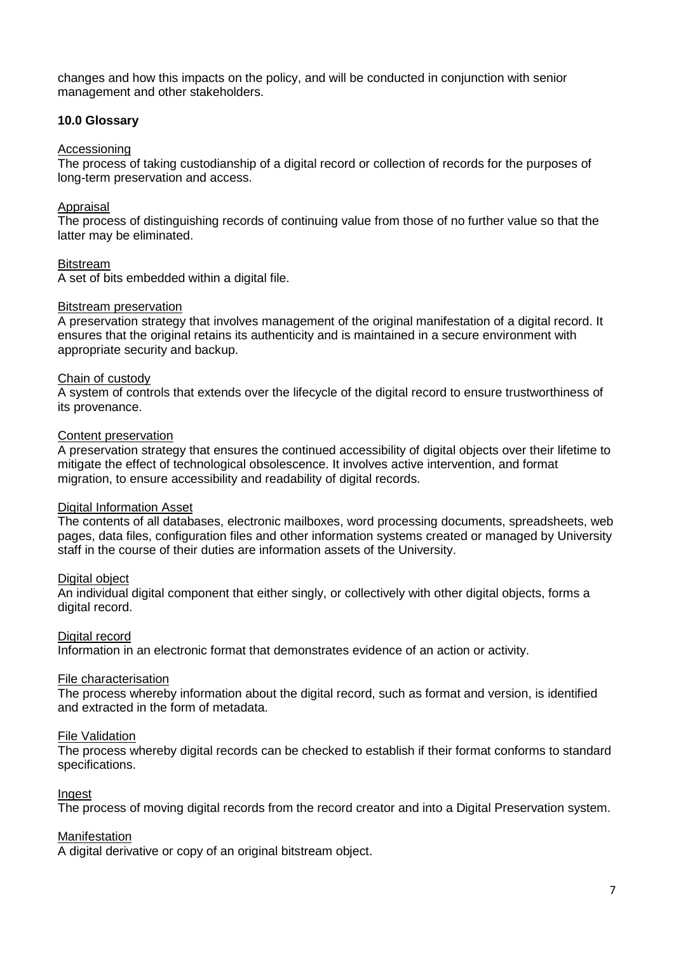changes and how this impacts on the policy, and will be conducted in conjunction with senior management and other stakeholders.

#### **10.0 Glossary**

#### Accessioning

The process of taking custodianship of a digital record or collection of records for the purposes of long-term preservation and access.

#### **Appraisal**

The process of distinguishing records of continuing value from those of no further value so that the latter may be eliminated.

#### **Bitstream**

A set of bits embedded within a digital file.

#### Bitstream preservation

A preservation strategy that involves management of the original manifestation of a digital record. It ensures that the original retains its authenticity and is maintained in a secure environment with appropriate security and backup.

#### Chain of custody

A system of controls that extends over the lifecycle of the digital record to ensure trustworthiness of its provenance.

#### Content preservation

A preservation strategy that ensures the continued accessibility of digital objects over their lifetime to mitigate the effect of technological obsolescence. It involves active intervention, and format migration, to ensure accessibility and readability of digital records.

#### Digital Information Asset

The contents of all databases, electronic mailboxes, word processing documents, spreadsheets, web pages, data files, configuration files and other information systems created or managed by University staff in the course of their duties are information assets of the University.

## Digital object

An individual digital component that either singly, or collectively with other digital objects, forms a digital record.

## Digital record

Information in an electronic format that demonstrates evidence of an action or activity.

#### File characterisation

The process whereby information about the digital record, such as format and version, is identified and extracted in the form of metadata.

#### File Validation

The process whereby digital records can be checked to establish if their format conforms to standard specifications.

#### Ingest

The process of moving digital records from the record creator and into a Digital Preservation system.

#### **Manifestation**

A digital derivative or copy of an original bitstream object.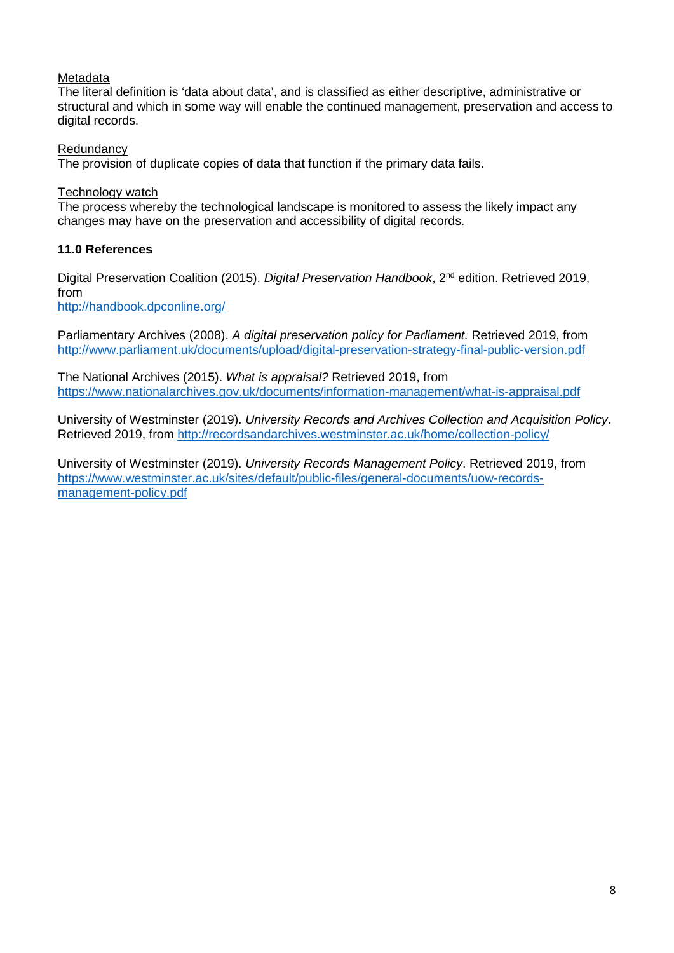## Metadata

The literal definition is 'data about data', and is classified as either descriptive, administrative or structural and which in some way will enable the continued management, preservation and access to digital records.

## **Redundancy**

The provision of duplicate copies of data that function if the primary data fails.

## Technology watch

The process whereby the technological landscape is monitored to assess the likely impact any changes may have on the preservation and accessibility of digital records.

## **11.0 References**

Digital Preservation Coalition (2015). *Digital Preservation Handbook*, 2nd edition. Retrieved 2019, from

<http://handbook.dpconline.org/>

Parliamentary Archives (2008). *A digital preservation policy for Parliament.* Retrieved 2019, from <http://www.parliament.uk/documents/upload/digital-preservation-strategy-final-public-version.pdf>

The National Archives (2015). *What is appraisal?* Retrieved 2019, from <https://www.nationalarchives.gov.uk/documents/information-management/what-is-appraisal.pdf>

University of Westminster (2019). *University Records and Archives Collection and Acquisition Policy*. Retrieved 2019, from<http://recordsandarchives.westminster.ac.uk/home/collection-policy/>

University of Westminster (2019). *University Records Management Policy*. Retrieved 2019, from [https://www.westminster.ac.uk/sites/default/public-files/general-documents/uow-records](https://www.westminster.ac.uk/sites/default/public-files/general-documents/uow-records-management-policy.pdf)[management-policy.pdf](https://www.westminster.ac.uk/sites/default/public-files/general-documents/uow-records-management-policy.pdf)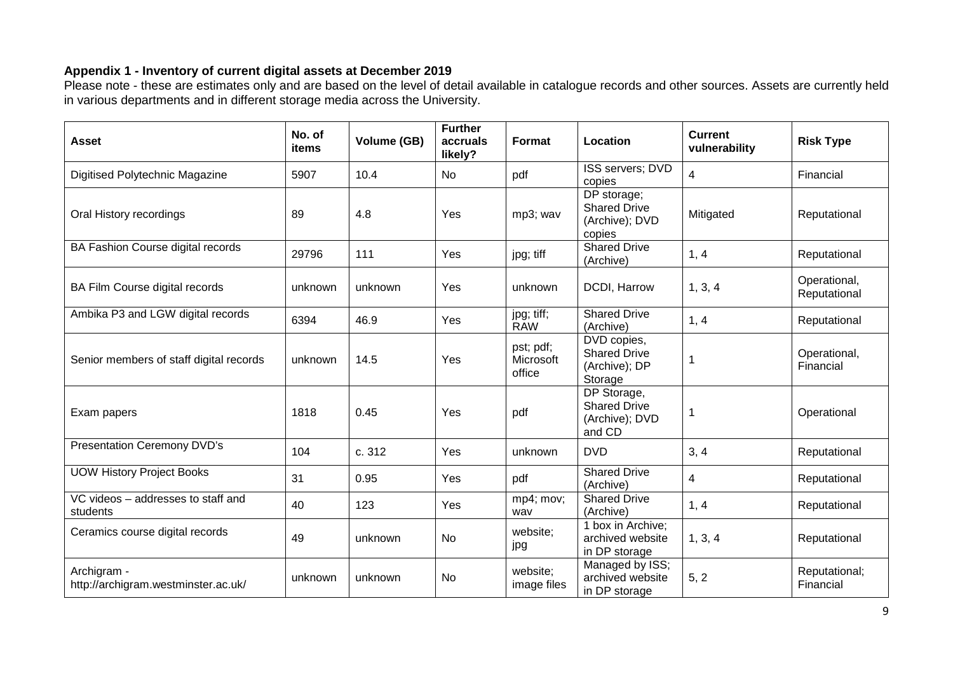# **Appendix 1 - Inventory of current digital assets at December 2019**

Please note - these are estimates only and are based on the level of detail available in catalogue records and other sources. Assets are currently held in various departments and in different storage media across the University.

| <b>Asset</b>                                       | No. of<br>items | Volume (GB) | <b>Further</b><br>accruals<br>likely? | Format                           | Location                                                       | <b>Current</b><br>vulnerability | <b>Risk Type</b>             |
|----------------------------------------------------|-----------------|-------------|---------------------------------------|----------------------------------|----------------------------------------------------------------|---------------------------------|------------------------------|
| Digitised Polytechnic Magazine                     | 5907            | 10.4        | No                                    | pdf                              | ISS servers; DVD<br>copies                                     | 4                               | Financial                    |
| Oral History recordings                            | 89              | 4.8         | Yes                                   | mp3; wav                         | DP storage;<br><b>Shared Drive</b><br>(Archive); DVD<br>copies | Mitigated                       | Reputational                 |
| BA Fashion Course digital records                  | 29796           | 111         | Yes                                   | jpg; tiff                        | <b>Shared Drive</b><br>(Archive)                               | 1, 4                            | Reputational                 |
| BA Film Course digital records                     | unknown         | unknown     | Yes                                   | unknown                          | DCDI, Harrow                                                   | 1, 3, 4                         | Operational,<br>Reputational |
| Ambika P3 and LGW digital records                  | 6394            | 46.9        | Yes                                   | jpg; tiff;<br><b>RAW</b>         | <b>Shared Drive</b><br>(Archive)                               | 1, 4                            | Reputational                 |
| Senior members of staff digital records            | unknown         | 14.5        | Yes                                   | pst; pdf;<br>Microsoft<br>office | DVD copies,<br><b>Shared Drive</b><br>(Archive); DP<br>Storage | -1                              | Operational,<br>Financial    |
| Exam papers                                        | 1818            | 0.45        | Yes                                   | pdf                              | DP Storage,<br><b>Shared Drive</b><br>(Archive); DVD<br>and CD | $\mathbf 1$                     | Operational                  |
| <b>Presentation Ceremony DVD's</b>                 | 104             | c. 312      | Yes                                   | unknown                          | <b>DVD</b>                                                     | 3, 4                            | Reputational                 |
| <b>UOW History Project Books</b>                   | 31              | 0.95        | Yes                                   | pdf                              | <b>Shared Drive</b><br>(Archive)                               | 4                               | Reputational                 |
| VC videos - addresses to staff and<br>students     | 40              | 123         | Yes                                   | mp4; mov;<br>wav                 | <b>Shared Drive</b><br>(Archive)                               | 1, 4                            | Reputational                 |
| Ceramics course digital records                    | 49              | unknown     | No                                    | website;<br>jpg                  | 1 box in Archive;<br>archived website<br>in DP storage         | 1, 3, 4                         | Reputational                 |
| Archigram -<br>http://archigram.westminster.ac.uk/ | unknown         | unknown     | No                                    | website;<br>image files          | Managed by ISS;<br>archived website<br>in DP storage           | 5, 2                            | Reputational;<br>Financial   |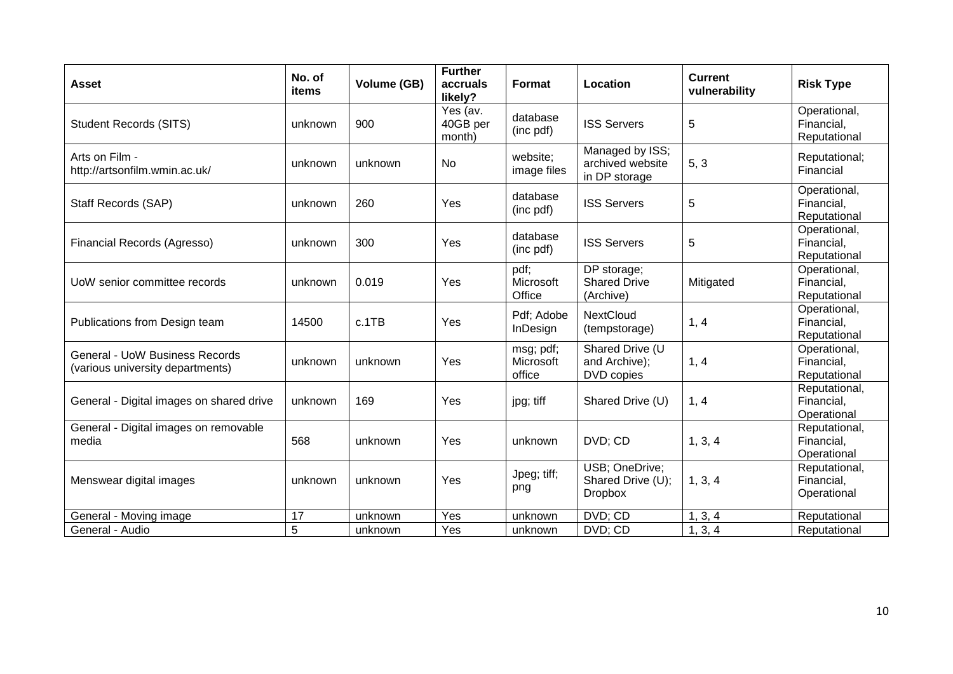| <b>Asset</b>                                                              | No. of<br>items | Volume (GB) | <b>Further</b><br>accruals<br>likely? | <b>Format</b>                    | Location                                              | <b>Current</b><br>vulnerability | <b>Risk Type</b>                           |
|---------------------------------------------------------------------------|-----------------|-------------|---------------------------------------|----------------------------------|-------------------------------------------------------|---------------------------------|--------------------------------------------|
| <b>Student Records (SITS)</b>                                             | unknown         | 900         | Yes (av.<br>40GB per<br>month)        | database<br>(inc pdf)            | <b>ISS Servers</b>                                    | 5                               | Operational,<br>Financial,<br>Reputational |
| Arts on Film -<br>http://artsonfilm.wmin.ac.uk/                           | unknown         | unknown     | <b>No</b>                             | website:<br>image files          | Managed by ISS;<br>archived website<br>in DP storage  | 5, 3                            | Reputational;<br>Financial                 |
| Staff Records (SAP)                                                       | unknown         | 260         | Yes                                   | database<br>(inc pdf)            | <b>ISS Servers</b>                                    | 5                               | Operational,<br>Financial,<br>Reputational |
| Financial Records (Agresso)                                               | unknown         | 300         | Yes                                   | database<br>(inc pdf)            | <b>ISS Servers</b>                                    | 5                               | Operational,<br>Financial,<br>Reputational |
| UoW senior committee records                                              | unknown         | 0.019       | Yes                                   | pdf;<br>Microsoft<br>Office      | DP storage;<br><b>Shared Drive</b><br>(Archive)       | Mitigated                       | Operational,<br>Financial,<br>Reputational |
| Publications from Design team                                             | 14500           | c.1TB       | Yes                                   | Pdf; Adobe<br><b>InDesign</b>    | <b>NextCloud</b><br>(tempstorage)                     | 1, 4                            | Operational,<br>Financial,<br>Reputational |
| <b>General - UoW Business Records</b><br>(various university departments) | unknown         | unknown     | Yes                                   | msg; pdf;<br>Microsoft<br>office | Shared Drive (U<br>and Archive);<br>DVD copies        | 1, 4                            | Operational,<br>Financial,<br>Reputational |
| General - Digital images on shared drive                                  | unknown         | 169         | Yes                                   | jpg; tiff                        | Shared Drive (U)                                      | 1, 4                            | Reputational,<br>Financial,<br>Operational |
| General - Digital images on removable<br>media                            | 568             | unknown     | Yes                                   | unknown                          | DVD; CD                                               | 1, 3, 4                         | Reputational,<br>Financial,<br>Operational |
| Menswear digital images                                                   | unknown         | unknown     | Yes                                   | Jpeg; tiff;<br>png               | USB; OneDrive;<br>Shared Drive (U);<br><b>Dropbox</b> | 1, 3, 4                         | Reputational,<br>Financial,<br>Operational |
| General - Moving image                                                    | 17              | unknown     | Yes                                   | unknown                          | DVD; CD                                               | 1, 3, 4                         | Reputational                               |
| General - Audio                                                           | 5               | unknown     | Yes                                   | unknown                          | DVD; CD                                               | 1, 3, 4                         | Reputational                               |